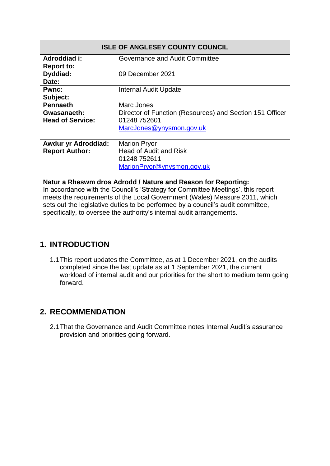| <b>ISLE OF ANGLESEY COUNTY COUNCIL</b>                                          |                                                          |  |  |  |  |
|---------------------------------------------------------------------------------|----------------------------------------------------------|--|--|--|--|
| Adroddiad i:                                                                    | Governance and Audit Committee                           |  |  |  |  |
| <b>Report to:</b>                                                               |                                                          |  |  |  |  |
| Dyddiad:                                                                        | 09 December 2021                                         |  |  |  |  |
| Date:                                                                           |                                                          |  |  |  |  |
| <b>Pwnc:</b>                                                                    | <b>Internal Audit Update</b>                             |  |  |  |  |
| Subject:                                                                        |                                                          |  |  |  |  |
| <b>Pennaeth</b>                                                                 | Marc Jones                                               |  |  |  |  |
| Gwasanaeth:                                                                     | Director of Function (Resources) and Section 151 Officer |  |  |  |  |
| <b>Head of Service:</b>                                                         | 01248 752601                                             |  |  |  |  |
|                                                                                 | MarcJones@ynysmon.gov.uk                                 |  |  |  |  |
| <b>Awdur yr Adroddiad:</b>                                                      | <b>Marion Pryor</b>                                      |  |  |  |  |
| <b>Report Author:</b>                                                           | <b>Head of Audit and Risk</b>                            |  |  |  |  |
|                                                                                 | 01248 752611                                             |  |  |  |  |
|                                                                                 |                                                          |  |  |  |  |
|                                                                                 | MarionPryor@ynysmon.gov.uk                               |  |  |  |  |
|                                                                                 |                                                          |  |  |  |  |
| Natur a Rheswm dros Adrodd / Nature and Reason for Reporting:                   |                                                          |  |  |  |  |
| In accordance with the Council's 'Strategy for Committee Meetings', this report |                                                          |  |  |  |  |
| meets the requirements of the Local Government (Wales) Measure 2011, which      |                                                          |  |  |  |  |
| sets out the legislative duties to be performed by a council's audit committee, |                                                          |  |  |  |  |

#### specifically, to oversee the authority's internal audit arrangements.

#### **1. INTRODUCTION**

1.1This report updates the Committee, as at 1 December 2021, on the audits completed since the last update as at 1 September 2021, the current workload of internal audit and our priorities for the short to medium term going forward.

#### **2. RECOMMENDATION**

2.1That the Governance and Audit Committee notes Internal Audit's assurance provision and priorities going forward.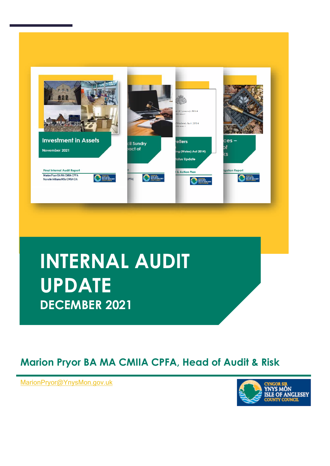

# **INTERNAL AUDIT UPDATE DECEMBER 2021**

### **Marion Pryor BA MA CMIIA CPFA, Head of Audit & Risk**

**, Head of Audit & Risk** [MarionPryor@YnysMon.gov.uk](mailto:MarionPryor@YnysMon.gov.uk)

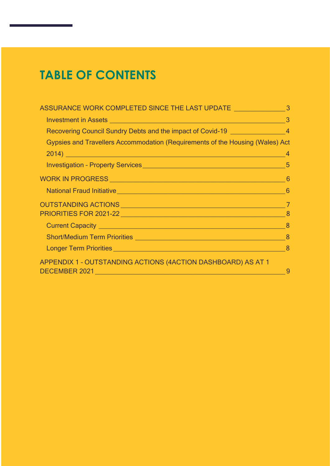# **TABLE OF CONTENTS**

| ASSURANCE WORK COMPLETED SINCE THE LAST UPDATE __________________________________                                                                                                                                              |   |
|--------------------------------------------------------------------------------------------------------------------------------------------------------------------------------------------------------------------------------|---|
| Investment in Assets 2000 and 2000 and 2000 and 2000 and 2000 and 2000 and 2000 and 2000 and 2000 and 2000 and 2000 and 2000 and 2000 and 2000 and 2000 and 2000 and 2000 and 2000 and 2000 and 2000 and 2000 and 2000 and 200 |   |
| Recovering Council Sundry Debts and the impact of Covid-19 ____________________4                                                                                                                                               |   |
| Gypsies and Travellers Accommodation (Requirements of the Housing (Wales) Act                                                                                                                                                  |   |
| 2014) до применение при применении при применении по применения при применении при применении при применении п                                                                                                                 |   |
|                                                                                                                                                                                                                                |   |
|                                                                                                                                                                                                                                |   |
|                                                                                                                                                                                                                                |   |
|                                                                                                                                                                                                                                |   |
|                                                                                                                                                                                                                                |   |
|                                                                                                                                                                                                                                |   |
|                                                                                                                                                                                                                                |   |
| Longer Term Priorities 34 and 2010 12 and 2010 12 and 2010 12 and 2010 12 and 2010 12 and 2010 12 and 2010 12 and 2010 12 and 2010 12 and 2010 12 and 2010 12 and 2010 12 and 2010 12 and 2010 12 and 2010 12 and 2010 12 and  |   |
| APPENDIX 1 - OUTSTANDING ACTIONS (4ACTION DASHBOARD) AS AT 1<br>DECEMBER 2021 <b>2008</b> 2021 2009 2010 2021 2022 2023 2024 2022 2023                                                                                         | 9 |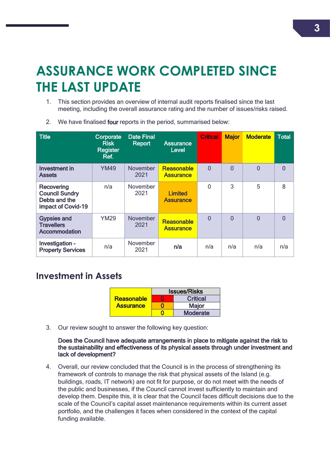# <span id="page-3-0"></span>**ASSURANCE WORK COMPLETED SINCE THE LAST UPDATE**

1. This section provides an overview of internal audit reports finalised since the last meeting, including the overall assurance rating and the number of issues/risks raised.

|  |  |  |  |  |  | 2. We have finalised four reports in the period, summarised below: |  |
|--|--|--|--|--|--|--------------------------------------------------------------------|--|
|--|--|--|--|--|--|--------------------------------------------------------------------|--|

| <b>Title</b>                                                               | Corporate<br><b>Risk</b><br><b>Register</b><br>Ref. | <b>Date Final</b><br>Report | <b>Assurance</b><br><b>Level</b>   | <b>Critical</b> | <b>Major</b>   | <b>Moderate</b> | <b>Total</b>   |
|----------------------------------------------------------------------------|-----------------------------------------------------|-----------------------------|------------------------------------|-----------------|----------------|-----------------|----------------|
| Investment in<br><b>Assets</b>                                             | <b>YM49</b>                                         | <b>November</b><br>2021     | Reasonable<br><b>Assurance</b>     | $\overline{0}$  | $\Omega$       | $\overline{0}$  | $\overline{0}$ |
| Recovering<br><b>Council Sundry</b><br>Debts and the<br>impact of Covid-19 | n/a                                                 | <b>November</b><br>2021     | <b>Limited</b><br><b>Assurance</b> | 0               | 3              | 5               | 8              |
| <b>Gypsies and</b><br><b>Travellers</b><br>Accommodation                   | <b>YM29</b>                                         | <b>November</b><br>2021     | Reasonable<br><b>Assurance</b>     | $\overline{0}$  | $\overline{0}$ | $\overline{0}$  | $\Omega$       |
| Investigation -<br><b>Property Services</b>                                | n/a                                                 | November<br>2021            | n/a                                | n/a             | n/a            | n/a             | n/a            |

#### <span id="page-3-1"></span>**Investment in Assets**

|                  | <b>Issues/Risks</b> |                 |  |
|------------------|---------------------|-----------------|--|
| Reasonable       |                     | <b>Critical</b> |  |
| <b>Assurance</b> |                     | <b>Major</b>    |  |
|                  |                     | <b>Moderate</b> |  |

3. Our review sought to answer the following key question:

#### Does the Council have adequate arrangements in place to mitigate against the risk to the sustainability and effectiveness of its physical assets through under investment and lack of development?

4. Overall, our review concluded that the Council is in the process of strengthening its framework of controls to manage the risk that physical assets of the Island (e.g. buildings, roads, IT network) are not fit for purpose, or do not meet with the needs of the public and businesses, if the Council cannot invest sufficiently to maintain and develop them. Despite this, it is clear that the Council faces difficult decisions due to the scale of the Council's capital asset maintenance requirements within its current asset portfolio, and the challenges it faces when considered in the context of the capital funding available.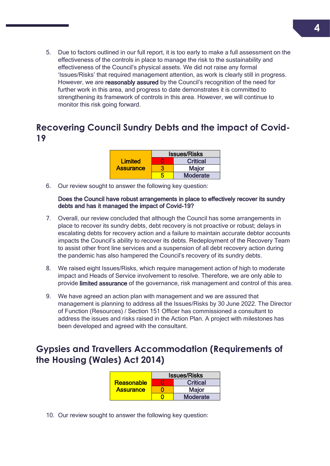5. Due to factors outlined in our full report, it is too early to make a full assessment on the effectiveness of the controls in place to manage the risk to the sustainability and effectiveness of the Council's physical assets. We did not raise any formal 'Issues/Risks' that required management attention, as work is clearly still in progress. However, we are **reasonably assured** by the Council's recognition of the need for further work in this area, and progress to date demonstrates it is committed to strengthening its framework of controls in this area. However, we will continue to monitor this risk going forward.

#### <span id="page-4-0"></span>**Recovering Council Sundry Debts and the impact of Covid-19**

|                  | <b>Issues/Risks</b> |                 |  |
|------------------|---------------------|-----------------|--|
| Limited          | r                   | <b>Critical</b> |  |
| <b>Assurance</b> |                     | <b>Major</b>    |  |
|                  |                     | <b>Moderate</b> |  |

6. Our review sought to answer the following key question:

#### Does the Council have robust arrangements in place to effectively recover its sundry debts and has it managed the impact of Covid-19?

- 7. Overall, our review concluded that although the Council has some arrangements in place to recover its sundry debts, debt recovery is not proactive or robust; delays in escalating debts for recovery action and a failure to maintain accurate debtor accounts impacts the Council's ability to recover its debts. Redeployment of the Recovery Team to assist other front line services and a suspension of all debt recovery action during the pandemic has also hampered the Council's recovery of its sundry debts.
- 8. We raised eight Issues/Risks, which require management action of high to moderate impact and Heads of Service involvement to resolve. Therefore, we are only able to provide limited assurance of the governance, risk management and control of this area.
- 9. We have agreed an action plan with management and we are assured that management is planning to address all the Issues/Risks by 30 June 2022. The Director of Function (Resources) / Section 151 Officer has commissioned a consultant to address the issues and risks raised in the Action Plan. A project with milestones has been developed and agreed with the consultant.

### <span id="page-4-1"></span>**Gypsies and Travellers Accommodation (Requirements of the Housing (Wales) Act 2014)**

|                  | <b>Issues/Risks</b> |                 |  |  |  |
|------------------|---------------------|-----------------|--|--|--|
| Reasonable       | n                   | <b>Critical</b> |  |  |  |
| <b>Assurance</b> |                     | <b>Major</b>    |  |  |  |
|                  |                     | <b>Moderate</b> |  |  |  |

10. Our review sought to answer the following key question: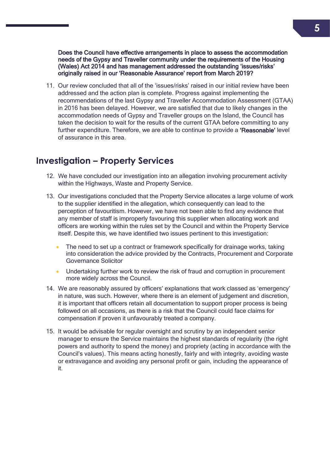Does the Council have effective arrangements in place to assess the accommodation needs of the Gypsy and Traveller community under the requirements of the Housing (Wales) Act 2014 and has management addressed the outstanding 'issues/risks' originally raised in our 'Reasonable Assurance' report from March 2019?

11. Our review concluded that all of the 'issues/risks' raised in our initial review have been addressed and the action plan is complete. Progress against implementing the recommendations of the last Gypsy and Traveller Accommodation Assessment (GTAA) in 2016 has been delayed. However, we are satisfied that due to likely changes in the accommodation needs of Gypsy and Traveller groups on the Island, the Council has taken the decision to wait for the results of the current GTAA before committing to any further expenditure. Therefore, we are able to continue to provide a 'Reasonable' level of assurance in this area.

#### <span id="page-5-0"></span>**Investigation – Property Services**

- 12. We have concluded our investigation into an allegation involving procurement activity within the Highways, Waste and Property Service.
- 13. Our investigations concluded that the Property Service allocates a large volume of work to the supplier identified in the allegation, which consequently can lead to the perception of favouritism. However, we have not been able to find any evidence that any member of staff is improperly favouring this supplier when allocating work and officers are working within the rules set by the Council and within the Property Service itself. Despite this, we have identified two issues pertinent to this investigation:
	- The need to set up a contract or framework specifically for drainage works, taking into consideration the advice provided by the Contracts, Procurement and Corporate Governance Solicitor
	- Undertaking further work to review the risk of fraud and corruption in procurement more widely across the Council.
- 14. We are reasonably assured by officers' explanations that work classed as 'emergency' in nature, was such. However, where there is an element of judgement and discretion, it is important that officers retain all documentation to support proper process is being followed on all occasions, as there is a risk that the Council could face claims for compensation if proven it unfavourably treated a company.
- 15. It would be advisable for regular oversight and scrutiny by an independent senior manager to ensure the Service maintains the highest standards of regularity (the right powers and authority to spend the money) and propriety (acting in accordance with the Council's values). This means acting honestly, fairly and with integrity, avoiding waste or extravagance and avoiding any personal profit or gain, including the appearance of it.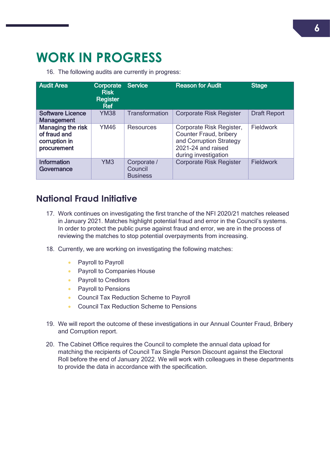### <span id="page-6-0"></span>**WORK IN PROGRESS**

16. The following audits are currently in progress:

| <b>Audit Area</b>                                                 | Corporate<br><b>Risk</b><br><b>Register</b><br>Ref | <b>Service</b>                            | <b>Reason for Audit</b>                                                                                                            | <b>Stage</b>        |  |
|-------------------------------------------------------------------|----------------------------------------------------|-------------------------------------------|------------------------------------------------------------------------------------------------------------------------------------|---------------------|--|
| <b>Software Licence</b><br><b>Management</b>                      | <b>YM38</b>                                        | Transformation                            | <b>Corporate Risk Register</b>                                                                                                     | <b>Draft Report</b> |  |
| Managing the risk<br>of fraud and<br>corruption in<br>procurement | <b>YM46</b>                                        | Resources                                 | Corporate Risk Register,<br><b>Counter Fraud, bribery</b><br>and Corruption Strategy<br>2021-24 and raised<br>during investigation | Fieldwork           |  |
| <b>Information</b><br>Governance                                  | YM <sub>3</sub>                                    | Corporate /<br>Council<br><b>Business</b> | <b>Corporate Risk Register</b>                                                                                                     | <b>Fieldwork</b>    |  |

#### <span id="page-6-1"></span>**National Fraud Initiative**

- 17. Work continues on investigating the first tranche of the NFI 2020/21 matches released in January 2021. Matches highlight potential fraud and error in the Council's systems. In order to protect the public purse against fraud and error, we are in the process of reviewing the matches to stop potential overpayments from increasing.
- 18. Currently, we are working on investigating the following matches:
	- Payroll to Payroll
	- **•** Payroll to Companies House
	- Payroll to Creditors
	- Payroll to Pensions
	- **Council Tax Reduction Scheme to Payroll**
	- **Council Tax Reduction Scheme to Pensions**
- 19. We will report the outcome of these investigations in our Annual Counter Fraud, Bribery and Corruption report.
- 20. The Cabinet Office requires the Council to complete the annual data upload for matching the recipients of Council Tax Single Person Discount against the Electoral Roll before the end of January 2022. We will work with colleagues in these departments to provide the data in accordance with the specification.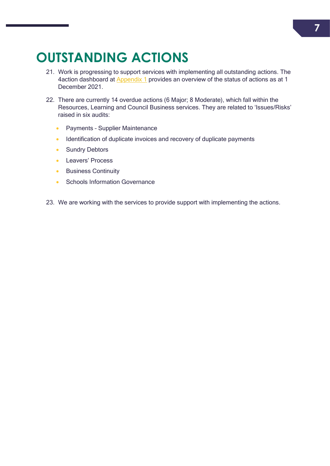# <span id="page-7-0"></span>**OUTSTANDING ACTIONS**

- 21. Work is progressing to support services with implementing all outstanding actions. The 4action dashboard at **[Appendix 1](#page-9-0)** provides an overview of the status of actions as at 1 December 2021.
- 22. There are currently 14 overdue actions (6 Major; 8 Moderate), which fall within the Resources, Learning and Council Business services. They are related to 'Issues/Risks' raised in six audits:
	- **•** Payments Supplier Maintenance
	- Identification of duplicate invoices and recovery of duplicate payments
	- Sundry Debtors
	- **Leavers' Process**
	- **Business Continuity**
	- Schools Information Governance
- 23. We are working with the services to provide support with implementing the actions.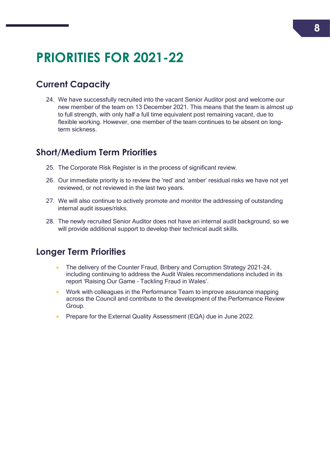# <span id="page-8-0"></span>**PRIORITIES FOR 2021-22**

### <span id="page-8-1"></span>**Current Capacity**

24. We have successfully recruited into the vacant Senior Auditor post and welcome our new member of the team on 13 December 2021. This means that the team is almost up to full strength, with only half a full time equivalent post remaining vacant, due to flexible working. However, one member of the team continues to be absent on longterm sickness.

#### <span id="page-8-2"></span>**Short/Medium Term Priorities**

- 25. The Corporate Risk Register is in the process of significant review.
- 26. Our immediate priority is to review the 'red' and 'amber' residual risks we have not yet reviewed, or not reviewed in the last two years.
- 27. We will also continue to actively promote and monitor the addressing of outstanding internal audit issues/risks.
- 28. The newly recruited Senior Auditor does not have an internal audit background, so we will provide additional support to develop their technical audit skills.

#### <span id="page-8-3"></span>**Longer Term Priorities**

- The delivery of the Counter Fraud, Bribery and Corruption Strategy 2021-24, including continuing to address the Audit Wales recommendations included in its report 'Raising Our Game – Tackling Fraud in Wales'.
- Work with colleagues in the Performance Team to improve assurance mapping across the Council and contribute to the development of the Performance Review Group.
- Prepare for the External Quality Assessment (EQA) due in June 2022.